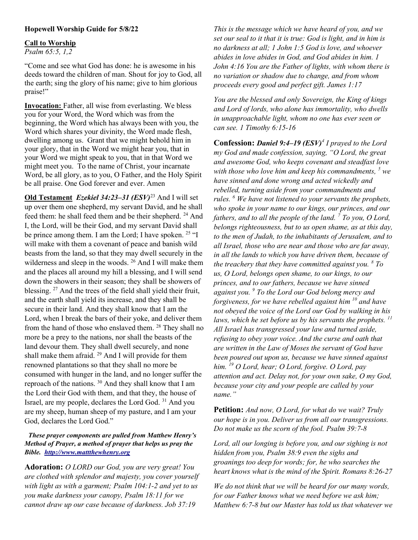# Hopewell Worship Guide for 5/8/22

## Call to Worship

Psalm 65:5, 1,2

"Come and see what God has done: he is awesome in his deeds toward the children of man. Shout for joy to God, all the earth; sing the glory of his name; give to him glorious praise!"

Invocation: Father, all wise from everlasting. We bless you for your Word, the Word which was from the beginning, the Word which has always been with you, the Word which shares your divinity, the Word made flesh, dwelling among us. Grant that we might behold him in your glory, that in the Word we might hear you, that in your Word we might speak to you, that in that Word we might meet you. To the name of Christ, your incarnate Word, be all glory, as to you, O Father, and the Holy Spirit be all praise. One God forever and ever. Amen

Old Testament *Ezekiel 34:23–31 (ESV)*<sup>23</sup> And I will set up over them one shepherd, my servant David, and he shall feed them: he shall feed them and be their shepherd. <sup>24</sup> And I, the Lord, will be their God, and my servant David shall be prince among them. I am the Lord; I have spoken. <sup>25</sup> "I will make with them a covenant of peace and banish wild beasts from the land, so that they may dwell securely in the wilderness and sleep in the woods. <sup>26</sup> And I will make them and the places all around my hill a blessing, and I will send down the showers in their season; they shall be showers of blessing. <sup>27</sup> And the trees of the field shall yield their fruit, and the earth shall yield its increase, and they shall be secure in their land. And they shall know that I am the Lord, when I break the bars of their yoke, and deliver them from the hand of those who enslaved them. <sup>28</sup> They shall no more be a prey to the nations, nor shall the beasts of the land devour them. They shall dwell securely, and none shall make them afraid.  $29$  And I will provide for them renowned plantations so that they shall no more be consumed with hunger in the land, and no longer suffer the reproach of the nations. <sup>30</sup> And they shall know that I am the Lord their God with them, and that they, the house of Israel, are my people, declares the Lord God. <sup>31</sup> And you are my sheep, human sheep of my pasture, and I am your God, declares the Lord God."

## These prayer components are pulled from Matthew Henry's Method of Prayer, a method of prayer that helps us pray the Bible. http://www.mattthewhenry.org

Adoration: O LORD our God, you are very great! You are clothed with splendor and majesty, you cover yourself with light as with a garment; Psalm 104:1-2 and yet to us you make darkness your canopy, Psalm 18:11 for we cannot draw up our case because of darkness. Job 37:19

This is the message which we have heard of you, and we set our seal to it that it is true: God is light, and in him is no darkness at all; 1 John 1:5 God is love, and whoever abides in love abides in God, and God abides in him. 1 John 4:16 You are the Father of lights, with whom there is no variation or shadow due to change, and from whom proceeds every good and perfect gift. James 1:17

You are the blessed and only Sovereign, the King of kings and Lord of lords, who alone has immortality, who dwells in unapproachable light, whom no one has ever seen or can see. 1 Timothy 6:15-16

**Confession: Daniel 9:4–19 (ESV)<sup>4</sup>** I prayed to the Lord my God and made confession, saying, "O Lord, the great and awesome God, who keeps covenant and steadfast love with those who love him and keep his commandments,  $^5$  we have sinned and done wrong and acted wickedly and rebelled, turning aside from your commandments and rules. <sup>6</sup> We have not listened to your servants the prophets, who spoke in your name to our kings, our princes, and our fathers, and to all the people of the land.  $\frac{7}{10}$  To you, O Lord, belongs righteousness, but to us open shame, as at this day, to the men of Judah, to the inhabitants of Jerusalem, and to all Israel, those who are near and those who are far away, in all the lands to which you have driven them, because of the treachery that they have committed against you.  $^8$  To us, O Lord, belongs open shame, to our kings, to our princes, and to our fathers, because we have sinned against you. <sup>9</sup> To the Lord our God belong mercy and forgiveness, for we have rebelled against him  $^{10}$  and have not obeyed the voice of the Lord our God by walking in his laws, which he set before us by his servants the prophets.  $11$ All Israel has transgressed your law and turned aside, refusing to obey your voice. And the curse and oath that are written in the Law of Moses the servant of God have been poured out upon us, because we have sinned against him.  $^{19}$  O Lord, hear; O Lord, forgive. O Lord, pay attention and act. Delay not, for your own sake, O my God, because your city and your people are called by your name."

Petition: And now, O Lord, for what do we wait? Truly our hope is in you. Deliver us from all our transgressions. Do not make us the scorn of the fool. Psalm 39:7-8

Lord, all our longing is before you, and our sighing is not hidden from you, Psalm 38:9 even the sighs and groanings too deep for words; for, he who searches the heart knows what is the mind of the Spirit. Romans 8:26-27

We do not think that we will be heard for our many words, for our Father knows what we need before we ask him; Matthew 6:7-8 but our Master has told us that whatever we